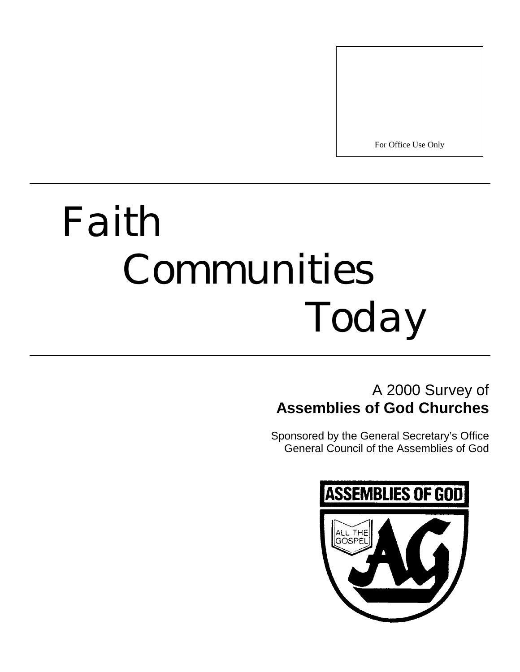For Office Use Only

# *Faith Communities Today*

# A 2000 Survey of **Assemblies of God Churches**

Sponsored by the General Secretary's Office General Council of the Assemblies of God

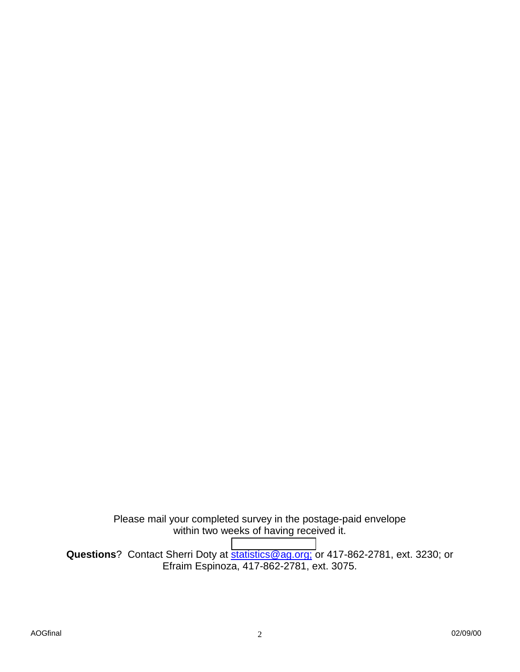Please mail your completed survey in the postage-paid envelope within two weeks of having received it.

Questions? Contact Sherri Doty at **statistics@ag.org**; or 417-862-2781, ext. 3230; or Efraim Espinoza, 417-862-2781, ext. 3075.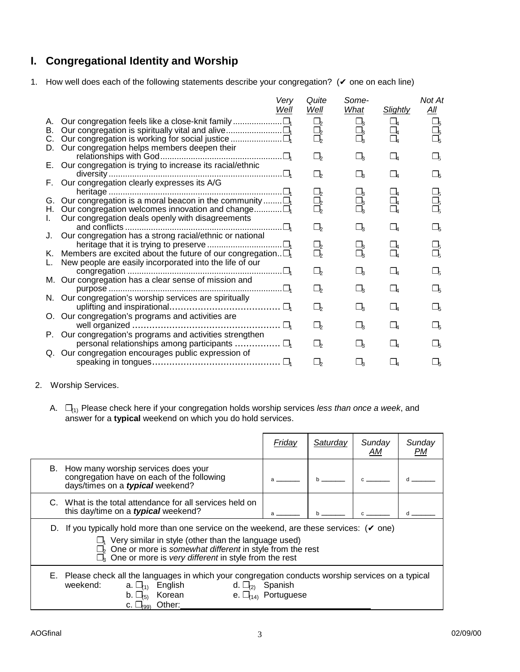# **I. Congregational Identity and Worship**

1. How well does each of the following statements describe your congregation? (v one on each line)

|          | Verv<br>Well                                                                                                                                                                             | Quite<br>Well                    | Some-<br><b>What</b>             | <b>Slightly</b>                                             | Not At<br><u>All</u>                       |
|----------|------------------------------------------------------------------------------------------------------------------------------------------------------------------------------------------|----------------------------------|----------------------------------|-------------------------------------------------------------|--------------------------------------------|
| А.<br>В. | D. Our congregation helps members deepen their                                                                                                                                           | $\Box$<br>$\Box_2$<br>$\Box_2$   | $\Box$ 3<br>$\Box_3$<br>$\Box_3$ | $\Box_4$<br>$\Box_4$<br>$\square_4$                         | $\square_5$<br>$\Box_5$<br>$\Box_5$        |
| E.,      | Our congregation is trying to increase its racial/ethnic                                                                                                                                 | π,                               | $\Box_3$                         | $\Box$                                                      | $\square_5$                                |
| F.       |                                                                                                                                                                                          | $\Box_2$                         | $\square_3$                      | $\Box$                                                      | $\Box_5$                                   |
| L.       | G. Our congregation is a moral beacon in the community $\square_1$<br>H. Our congregation welcomes innovation and change $\square_1$<br>Our congregation deals openly with disagreements | $\Box_2$<br>$\Box_2$<br>$\Box_2$ | $\Box_3$<br>$\Box_3$<br>$\Box_3$ | $\Box_{4}$<br>$\Box_{\scriptscriptstyle{A}}$<br>$\square_4$ | $\square_5$<br>$\square_{\varsigma}$<br>□៹ |
| J.       | Our congregation has a strong racial/ethnic or national                                                                                                                                  | $\Box$                           | $\Box_3$                         | $\Box_4$                                                    | $\square_5$                                |
|          | K. Members are excited about the future of our congregation. $\square_1$<br>L. New people are easily incorporated into the life of our                                                   | $\square_2$<br>Ω,                | $\Box_3$<br>$\square_3$          | $\Box$<br>$\square_4$                                       | $\square_5$<br>$\Box_{5}$                  |
|          | M. Our congregation has a clear sense of mission and                                                                                                                                     | $\Box_2$                         | $\Box_3$                         | $\Box$                                                      | $\square_5$                                |
|          | N. Our congregation's worship services are spiritually                                                                                                                                   | π,                               | $\Box_3$                         | $\Box$                                                      | $\Box_5$                                   |
|          |                                                                                                                                                                                          | $\Box_2$                         | $\Box_3$                         | $\square_{4}$                                               | $\Box_5$                                   |
|          | O. Our congregation's programs and activities are                                                                                                                                        | $\Box_2$                         | $\Box_3$                         | $\Box$                                                      | $\Box_5$                                   |
| P.       | Our congregation's programs and activities strengthen                                                                                                                                    | $\Box_2$                         | $\Box_3$                         | $\square_4$                                                 | $\Box_5$                                   |
|          | Q. Our congregation encourages public expression of                                                                                                                                      | □,                               | $\Box_3$                         | $\Box_{4}$                                                  | $\square_5$                                |

- 2. Worship Services.
	- A.  $\square_{(1)}$  Please check here if your congregation holds worship services *less than once a week*, and answer for a **typical** weekend on which you do hold services.

|                                                                                                                                                                                                                                                                                                                                 | <b>Friday</b>                                                | Saturday | Sunday<br>АM | Sunday<br>PМ |
|---------------------------------------------------------------------------------------------------------------------------------------------------------------------------------------------------------------------------------------------------------------------------------------------------------------------------------|--------------------------------------------------------------|----------|--------------|--------------|
| B. How many worship services does your<br>congregation have on each of the following<br>days/times on a typical weekend?                                                                                                                                                                                                        |                                                              |          |              |              |
| C. What is the total attendance for all services held on<br>this day/time on a typical weekend?                                                                                                                                                                                                                                 |                                                              |          |              |              |
| D. If you typically hold more than one service on the weekend, are these services: $(\vee$ one)<br>$\Box$ <sub>1</sub> Very similar in style (other than the language used)<br>$\Box_2$ One or more is somewhat different in style from the rest<br>$\square$ <sub>3</sub> One or more is very different in style from the rest |                                                              |          |              |              |
| E. Please check all the languages in which your congregation conducts worship services on a typical<br>weekend:<br>a. $\square_{(1)}$<br>English<br>Korean<br>b. $\square_{(5)}$<br>Other:<br>C. $\Box_{(99)}$                                                                                                                  | d. $\square_{(2)}$ Spanish<br>e. $\square_{(14)}$ Portuguese |          |              |              |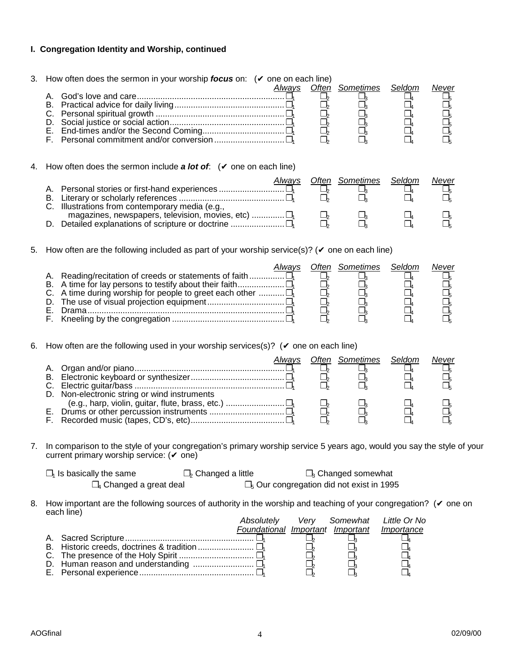## **I. Congregation Identity and Worship, continued**

| 3. How often does the sermon in your worship focus on: $(\vee)$ one on each line)<br>Always<br>В.                    | Often<br>Ω,<br>$\Box_2$<br>$\Box_2$ | Sometimes<br>$\square_3$<br>$\Box_3$<br>$\Box_3$ | Seldom<br>⊔⊿<br>$\Box_4$<br>$\Box_4$     | Never<br>$\Box_5$<br>$\square_5$<br>$\Box_5$ |
|----------------------------------------------------------------------------------------------------------------------|-------------------------------------|--------------------------------------------------|------------------------------------------|----------------------------------------------|
| D.                                                                                                                   | $\Box_2$<br>$\Box_2$<br>$\Box_2$    | $\square_3$<br>$\square_3$<br>$\Box_3$           | $\square_4$<br>$\Box_4$<br>$\square_{4}$ | $\Box_5$<br>$\Box_5$<br>Ω5                   |
| 4. How often does the sermon include <b>a lot of</b> : $(\vee)$ one on each line)                                    |                                     |                                                  |                                          |                                              |
| Always<br>В.                                                                                                         | Often<br>$\Box$<br>$\Box$           | Sometimes<br>$\square_3$<br>$\square_3$          | Seldom<br>$\Box_{4}$<br>$\Box_{4}$       | Never<br>$\Box_5$<br>$\square_5$             |
| C. Illustrations from contemporary media (e.g.,<br>magazines, newspapers, television, movies, etc) $\square_1$<br>D. | $\square_2$<br>Ω,                   | $\Box_3$<br>$\Box_3$                             | $\sqcup_{4}$<br>$\sqcup_{4}$             | ┚ҕ                                           |

5. How often are the following included as part of your worship service(s)? ( $\checkmark$  one on each line)

|                                                                     | Alwavs | Often Sometimes Seldom | Never |
|---------------------------------------------------------------------|--------|------------------------|-------|
|                                                                     |        |                        |       |
|                                                                     |        |                        |       |
| C. A time during worship for people to greet each other $\square_1$ |        |                        |       |
|                                                                     |        |                        |       |
|                                                                     |        |                        |       |
|                                                                     |        |                        |       |

6. How often are the following used in your worship services(s)? ( $\vee$  one on each line)

|                                              |  | Often Sometimes Seldom | Never |
|----------------------------------------------|--|------------------------|-------|
|                                              |  |                        |       |
|                                              |  |                        |       |
|                                              |  |                        |       |
| D. Non-electronic string or wind instruments |  |                        |       |
|                                              |  |                        |       |
|                                              |  |                        |       |
|                                              |  |                        | ℸ     |

7. In comparison to the style of your congregation's primary worship service 5 years ago, would you say the style of your current primary worship service:  $($   $\checkmark$  one)

| $\square_1$ Is basically the same           | $\Box_2$ Changed a little | $\Box_3$ Changed somewhat                          |
|---------------------------------------------|---------------------------|----------------------------------------------------|
| $\square$ <sub>4</sub> Changed a great deal |                           | $\square_5$ Our congregation did not exist in 1995 |

8. How important are the following sources of authority in the worship and teaching of your congregation? ( $\vee$  one on each line)

|  | Absolutely                                  |  | Verv Somewhat Little Or No |
|--|---------------------------------------------|--|----------------------------|
|  | Foundational Important Important Importance |  |                            |
|  |                                             |  |                            |
|  |                                             |  |                            |
|  |                                             |  |                            |
|  |                                             |  |                            |
|  |                                             |  |                            |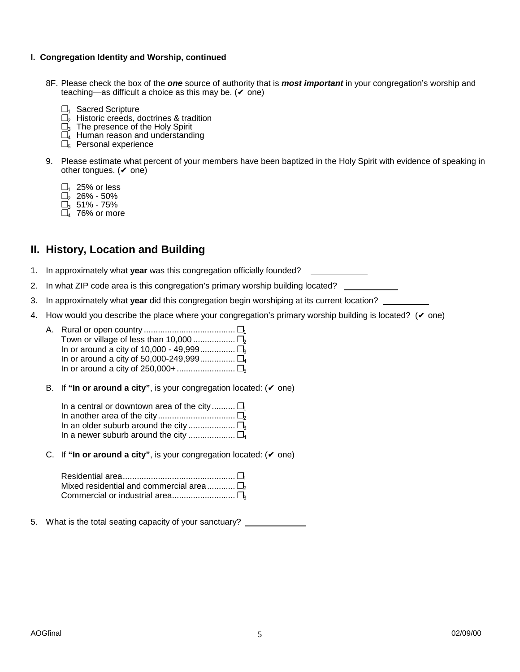### **I. Congregation Identity and Worship, continued**

- 8F. Please check the box of the *one* source of authority that is *most important* in your congregation's worship and teaching—as difficult a choice as this may be.  $({\vee})$  one)
	- $\square_1$  Sacred Scripture
	- $\square$ <sub>2</sub> Historic creeds, doctrines & tradition
	- $\square_3$  The presence of the Holy Spirit
	- $\overline{O}_4$  Human reason and understanding
	- $\square_5$  Personal experience
- 9. Please estimate what percent of your members have been baptized in the Holy Spirit with evidence of speaking in other tongues.  $(\vee)$  one)
	- $\square$ <sub>1</sub> 25% or less
	- $\square_2$  26% 50%
	- $\overline{\Box}_3$  51% 75%
	- $\overline{\Box}_4$  76% or more

# **II. History, Location and Building**

1. In approximately what **year** was this congregation officially founded?

- 2. In what ZIP code area is this congregation's primary worship building located?
- 3. In approximately what **year** did this congregation begin worshiping at its current location?
- 4. How would you describe the place where your congregation's primary worship building is located?  $(V \text{ one})$

B. If **"In or around a city"**, is your congregation located: (✔ one)

| In a central or downtown area of the city $\Box_1$ |  |
|----------------------------------------------------|--|
|                                                    |  |
|                                                    |  |
|                                                    |  |

C. If **"In or around a city"**, is your congregation located: (✔ one)

| Mixed residential and commercial area $\Box$ |
|----------------------------------------------|
|                                              |

5. What is the total seating capacity of your sanctuary?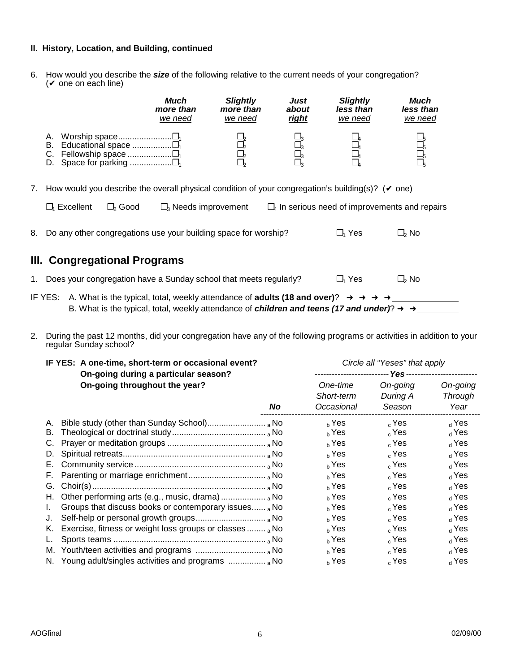# **II. History, Location, and Building, continued**

6. How would you describe the *size* of the following relative to the current needs of your congregation? (✔ one on each line)

|          | Much<br>more than<br>we need | <b>Slightly</b><br>more than<br>we need          | Just<br>about<br><u>right</u>                      | <b>Slightly</b><br>less than<br>we need | Much<br>less than<br>we need |
|----------|------------------------------|--------------------------------------------------|----------------------------------------------------|-----------------------------------------|------------------------------|
| Α.<br>В. |                              | –!∍<br>J2.<br>J <sub>2</sub><br>$\mathsf{L}_{2}$ | $\mathbf{I}_2$<br>$\Box_3$<br>$\Box_3$<br>$\Box_3$ | $\square_{4}$<br>$\Box_{4}$<br>$\Box$   | $\Box_5$<br>□5<br>$\Box_5$   |

7. How would you describe the overall physical condition of your congregation's building(s)? ( $\vee$  one)

| $\Box_1$ Excellent $\Box_2$ Good |  | $\square_3$ Needs improvement $\square_4$ In serious need of improvements and repairs |
|----------------------------------|--|---------------------------------------------------------------------------------------|
|----------------------------------|--|---------------------------------------------------------------------------------------|

8. Do any other congregations use your building space for worship?  $\Box_1$  Yes  $\Box_2$  No

# **III. Congregational Programs**

|  | 1. Does your congregation have a Sunday school that meets regularly? |  |  | $\Box_1$ Yes | $\square_2$ No |
|--|----------------------------------------------------------------------|--|--|--------------|----------------|
|--|----------------------------------------------------------------------|--|--|--------------|----------------|

- IF YES: A. What is the typical, total, weekly attendance of **adults (18 and over)**? → → → B. What is the typical, total, weekly attendance of *children and teens (17 and under)*?  $\rightarrow \rightarrow$
- 2. During the past 12 months, did your congregation have any of the following programs or activities in addition to your regular Sunday school?

| IF YES: A one-time, short-term or occasional event?                   | Circle all "Yeses" that apply |                      |                     |  |  |
|-----------------------------------------------------------------------|-------------------------------|----------------------|---------------------|--|--|
| On-going during a particular season?<br>On-going throughout the year? | One-time<br>Short-term        | On-going<br>During A | On-going<br>Through |  |  |
| <b>No</b>                                                             | Occasional                    | Season               | Year                |  |  |
| А.                                                                    | ь Yes                         | $_{c}$ Yes           | $_{\rm d}$ Yes      |  |  |
| В.                                                                    | ь Yes                         | $_{c}$ Yes           | $_{\rm d}$ Yes      |  |  |
| C.                                                                    | ь Yes                         | $_{c}$ Yes           | $_{d}$ Yes          |  |  |
| D.                                                                    | ь Yes                         | $_{c}$ Yes           | $_{\rm d}$ Yes      |  |  |
| Е.                                                                    | ь Yes                         | $_{c}$ Yes           | $_{\rm d}$ Yes      |  |  |
| F.                                                                    | ь Yes                         | GYes                 | $_{\rm d}$ Yes      |  |  |
| G.                                                                    | ь Yes                         | $_{c}$ Yes           | $_{\rm d}$ Yes      |  |  |
| H. .                                                                  | ь Yes                         | $_{c}$ Yes           | $_{d}$ Yes          |  |  |
| Groups that discuss books or contemporary issues, No                  | ь Yes                         | $_{c}$ Yes           | $_{d}$ Yes          |  |  |
| J.                                                                    | ь Yes                         | $_{c}$ Yes           | $_{\rm d}$ Yes      |  |  |
| Exercise, fitness or weight loss groups or classes  a No<br>Κ.        | ь Yes                         | GYes                 | $_{\rm d}$ Yes      |  |  |
|                                                                       | ь Yes                         | $_{c}$ Yes           | $_{\rm d}$ Yes      |  |  |
| M.                                                                    | ь Yes                         | $_{c}$ Yes           | $_{\rm d}$ Yes      |  |  |
|                                                                       | ь Yes                         | $_{c}$ Yes           | $_{\rm d}$ Yes      |  |  |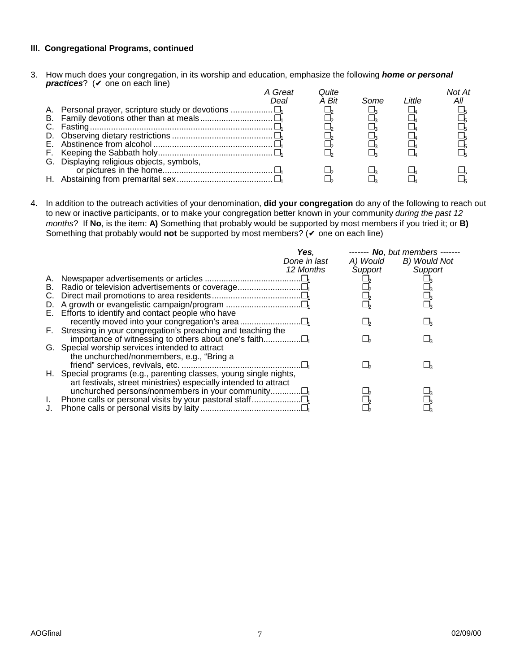### **III. Congregational Programs, continued**

3. How much does your congregation, in its worship and education, emphasize the following *home or personal practices*? ( $\vee$  one on each line)

| A Great                                   | )uite |      |        | Not At     |
|-------------------------------------------|-------|------|--------|------------|
| <b>Jear</b>                               | A Bit | Some | Little | <u>All</u> |
|                                           |       |      |        |            |
|                                           |       |      |        |            |
|                                           |       |      |        |            |
|                                           |       |      |        |            |
|                                           |       |      |        |            |
|                                           |       |      |        |            |
| G. Displaying religious objects, symbols, |       |      |        |            |
|                                           |       |      |        |            |
|                                           |       |      |        |            |

4. In addition to the outreach activities of your denomination, **did your congregation** do any of the following to reach out to new or inactive participants, or to make your congregation better known in your community *during the past 12 months*? If **No**, is the item: **A)** Something that probably would be supported by most members if you tried it; or **B)** Something that probably would **not** be supported by most members? ( $\checkmark$  one on each line)

|    | Yes.                                                               |          | ------ No, but members ----- |
|----|--------------------------------------------------------------------|----------|------------------------------|
|    | Done in last                                                       | A) Would | B) Would Not                 |
|    | 12 Months                                                          | Support  | Support                      |
|    |                                                                    |          |                              |
|    |                                                                    | $\Box_2$ | $\Box_3$                     |
|    |                                                                    | $\Box_2$ |                              |
|    |                                                                    | $\Box_2$ | $\Box_3$                     |
|    | E. Efforts to identify and contact people who have                 |          |                              |
|    |                                                                    |          |                              |
|    | F. Stressing in your congregation's preaching and teaching the     |          |                              |
|    |                                                                    |          |                              |
|    | G. Special worship services intended to attract                    |          |                              |
|    | the unchurched/nonmembers, e.g., "Bring a                          |          |                              |
|    |                                                                    |          |                              |
|    | H. Special programs (e.g., parenting classes, young single nights, |          |                              |
|    | art festivals, street ministries) especially intended to attract   |          |                              |
|    | unchurched persons/nonmembers in your community $\square_1$        |          |                              |
| L. |                                                                    |          |                              |
|    |                                                                    |          |                              |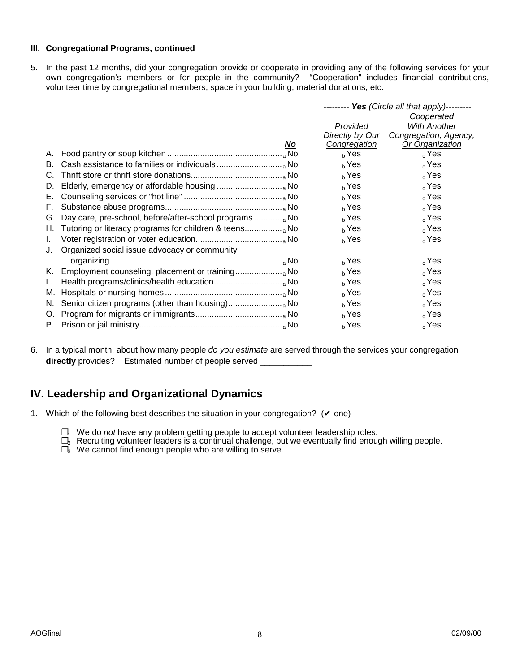## **III. Congregational Programs, continued**

5. In the past 12 months, did your congregation provide or cooperate in providing any of the following services for your own congregation's members or for people in the community? "Cooperation" includes financial contributions, volunteer time by congregational members, space in your building, material donations, etc.

|    |                                              | -------- Yes (Circle all that apply)--------- |                       |  |
|----|----------------------------------------------|-----------------------------------------------|-----------------------|--|
|    |                                              |                                               | Cooperated            |  |
|    |                                              | Provided                                      | <b>With Another</b>   |  |
|    |                                              | Directly by Our                               | Congregation, Agency, |  |
|    | <u>No</u>                                    | Congregation                                  | Or Organization       |  |
| А. |                                              | $h$ Yes                                       | $_{c}$ Yes            |  |
| В. |                                              | $h$ Yes                                       | $_{c}$ Yes            |  |
| C. |                                              | $h$ Yes                                       | $_{c}$ Yes            |  |
| D. |                                              | $b$ Yes                                       | $c$ Yes               |  |
| Е. |                                              | $h$ Yes                                       | $_{c}$ Yes            |  |
| F. |                                              | ь Yes                                         | $_{c}$ Yes            |  |
| G. |                                              | $b$ Yes                                       | $_{c}$ Yes            |  |
| Н. |                                              | $h$ Yes                                       | $_{c}$ Yes            |  |
| L. |                                              | ь Yes                                         | $_{c}$ Yes            |  |
|    | Organized social issue advocacy or community |                                               |                       |  |
|    | $_{\rm a}$ No<br>organizing                  | $h$ Yes                                       | $_{c}$ Yes            |  |
| Κ. |                                              | $h$ Yes                                       | $_{c}$ Yes            |  |
|    |                                              | $h$ Yes                                       | $_{c}$ Yes            |  |
| M. |                                              | $h$ Yes                                       | $_{c}$ Yes            |  |
| N. |                                              | ь Yes                                         | $_{c}$ Yes            |  |
| O. |                                              | $_b$ Yes                                      | $_{c}$ Yes            |  |
|    |                                              | <sub>b</sub> Yes                              | $_{c}$ Yes            |  |

6. In a typical month, about how many people *do you estimate* are served through the services your congregation **directly** provides? Estimated number of people served

# **IV. Leadership and Organizational Dynamics**

- 1. Which of the following best describes the situation in your congregation?  $($  $\checkmark$  one)
	- $\Box_1$  We do *not* have any problem getting people to accept volunteer leadership roles.
	- $\Box_2$  Recruiting volunteer leaders is a continual challenge, but we eventually find enough willing people.
	- $\overline{\Box}_3$  We cannot find enough people who are willing to serve.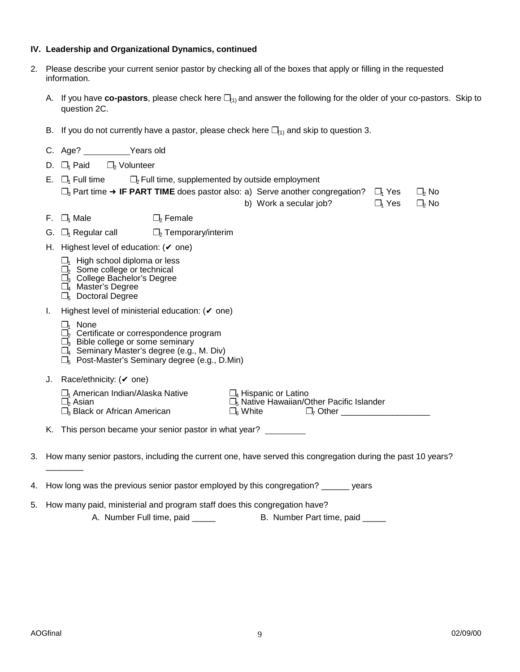# **IV. Leadership and Organizational Dynamics, continued**

- 2. Please describe your current senior pastor by checking all of the boxes that apply or filling in the requested information.
	- A. If you have **co-pastors**, please check here ❐(1) and answer the following for the older of your co-pastors. Skip to question 2C.
	- B. If you do not currently have a pastor, please check here  $\square_{(1)}$  and skip to question 3.
	- C. Age? Years old
	- D.  $\Box_1$  Paid  $\Box_2$  Volunteer
	- E.  $\Box$ <sub>1</sub> Full time  $\Box$ <sub>2</sub> Full time, supplemented by outside employment  $□<sub>3</sub>$  Part time → **IF PART TIME** does pastor also: a) Serve another congregation?  $□<sub>1</sub>$  Yes  $□<sub>2</sub>$  No

b) Work a secular job?  $\square_1$  Yes  $\square_2$  No

- F.  $\Box_1$  Male  $\Box_2$  Female
- G.  $\Box_1$  Regular call  $\Box_2$  Temporary/interim
- H. Highest level of education:  $(\vee)$  one)
	- $\square$ <sub>1</sub> High school diploma or less
	- $\square$ <sub>2</sub> Some college or technical
	- ❐<sup>3</sup> College Bachelor's Degree
	- ❐<sup>4</sup> Master's Degree
	- $\square_5$  Doctoral Degree
- I. Highest level of ministerial education:  $(\vee)$  one)
	- $\Box_1$  None

 $\overline{\phantom{a}}$ 

- □<sub>2</sub> Certificate or correspondence program
- $\square$ <sub>3</sub> Bible college or some seminary
- $\square$ <sub>4</sub> Seminary Master's degree (e.g., M. Div)
- $\square_5$  Post-Master's Seminary degree (e.g., D.Min)
- J. Race/ethnicity: (✔ one)

| $\Box_1$ American Indian/Alaska Native           | $\square$ <sub>4</sub> Hispanic or Latino |                                                    |
|--------------------------------------------------|-------------------------------------------|----------------------------------------------------|
| $\square$ , Asian                                |                                           | $\square_5$ Native Hawaiian/Other Pacific Islander |
| $\square$ <sub>3</sub> Black or African American | $\Box$ White                              | $\Box$ - Other                                     |

K. This person became your senior pastor in what year?

- 3. How many senior pastors, including the current one, have served this congregation during the past 10 years?
- 4. How long was the previous senior pastor employed by this congregation? \_\_\_\_\_\_ years
- 5. How many paid, ministerial and program staff does this congregation have?

A. Number Full time, paid \_\_\_\_\_ B. Number Part time, paid \_\_\_\_\_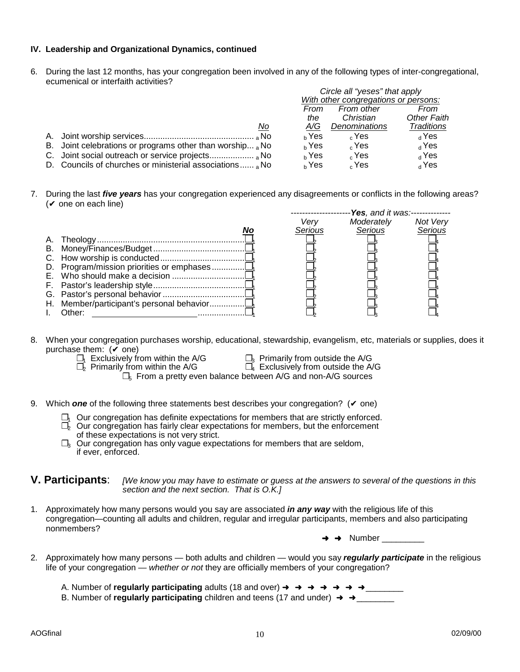# **IV. Leadership and Organizational Dynamics, continued**

6. During the last 12 months, has your congregation been involved in any of the following types of inter-congregational, ecumenical or interfaith activities? *Circle all "yeses" that apply*

|                                                          | Circle all "yeses" that apply        |               |                   |  |
|----------------------------------------------------------|--------------------------------------|---------------|-------------------|--|
|                                                          | With other congregations or persons: |               |                   |  |
|                                                          | From                                 | From other    | From              |  |
|                                                          | the                                  | Christian     | Other Faith       |  |
| No                                                       | A/G                                  | Denominations | <b>Traditions</b> |  |
|                                                          | ь Yes                                | 2 Yes         | $_{\rm d}$ Yes    |  |
| B. Joint celebrations or programs other than worship, No | $h$ Yes                              | $_{c}$ Yes    | $_{\rm d}$ Yes    |  |
|                                                          | $h$ Yes                              | $_{c}$ Yes    | $_{\rm d}$ Yes    |  |
| D. Councils of churches or ministerial associations, No  | $h$ Yes                              | $_{c}$ Yes    | $_{\rm d}$ Yes    |  |

7. During the last *five years* has your congregation experienced any disagreements or conflicts in the following areas?  $({\mathbf v})$  one on each line) *---------------------Yes, and it was:--------------*

|        |         | <b>169</b> , and it was.------------ |          |
|--------|---------|--------------------------------------|----------|
|        | Verv    | Moderately                           | Not Very |
| No     | Serious | Serious                              | Serious  |
|        |         |                                      |          |
|        |         |                                      |          |
|        |         |                                      |          |
|        |         |                                      |          |
|        |         |                                      |          |
|        |         |                                      |          |
|        |         |                                      |          |
|        |         |                                      |          |
| Other: |         |                                      |          |
|        |         |                                      |          |

- 8. When your congregation purchases worship, educational, stewardship, evangelism, etc, materials or supplies, does it purchase them:  $(\vee)$  one)
	- $\Box_1$  Exclusively from within the A/G  $\qquad \Box_3$  Primarily from outside the A/G
- - $\Box_2$  Primarily from within the A/G  $\Box_4$  Exclusively from outside the A/G
- - $\square_5$  From a pretty even balance between A/G and non-A/G sources
- 9. Which **one** of the following three statements best describes your congregation? ( $\vee$  one)
	- $\square$ <sub>1</sub> Our congregation has definite expectations for members that are strictly enforced.
	- $\square$ <sub>2</sub> Our congregation has fairly clear expectations for members, but the enforcement
	- of these expectations is not very strict.
	- $\square_3$  Our congregation has only vague expectations for members that are seldom, if ever, enforced.

### **V. Participants**: *[We know you may have to estimate or guess at the answers to several of the questions in this section and the next section. That is O.K.]*

1. Approximately how many persons would you say are associated *in any way* with the religious life of this congregation—counting all adults and children, regular and irregular participants, members and also participating nonmembers?

➜➜ Number \_\_\_\_\_\_\_\_\_

- 2. Approximately how many persons both adults and children would you say *regularly participate* in the religious life of your congregation — *whether or not* they are officially members of your congregation?
	- A. Number of **regularly participating** adults (18 and over) ➜➜➜➜➜➜➜\_\_\_\_\_\_\_\_
	- B. Number of **regularly participating** children and teens (17 and under) → →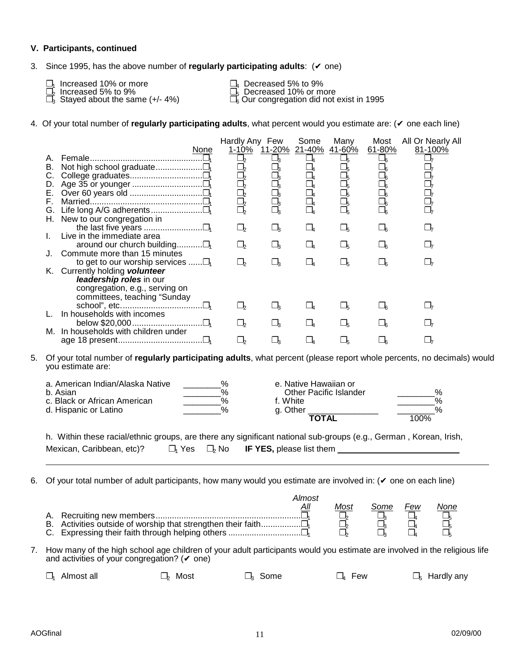# **V. Participants, continued**

## 3. Since 1995, has the above number of **regularly participating adults**: (✔ one)

 $\Box_1$  Increased 10% or more  $\Box_4$  Decreased 5% to 9%

 $\square_1$  Increased 10% or more<br> $\square_2$  Increased 5% to 9%<br> $\square_3$  Stayed about the same (+/- 4%)  $\Box_3^-$  Stayed about the same (+/- 4%)  $\qquad \qquad \Box_6^-$  Our congregation did not exist in 1995

# 4. Of your total number of **regularly participating adults**, what percent would you estimate are: (✔ one each line)

|          |                                                                              | Hardly Any Few       |                      | Some                           | Many                       | Most                 | All Or Nearly All    |
|----------|------------------------------------------------------------------------------|----------------------|----------------------|--------------------------------|----------------------------|----------------------|----------------------|
|          | None                                                                         | 1-10%                |                      | 11-20% 21-40%                  | 41-60%                     | 61-80%               | 81-100%              |
| А.       |                                                                              | $\Box_2$             | $\Box_3$             | $\Box_4$                       | $\Box_5$                   | $\square_6$          | $\Box_7$             |
| В.       |                                                                              | $\Box_2$             | $\Box_3$             | $\Box_4$                       | $\square_5$                | $\square_6$          | $\sqcup_7$           |
| C.       |                                                                              | $\square_2$          | $\square_3$          | $\Box_4$                       | $\Box_5$                   | $\Box_6$             | $\Box_7$             |
| D.<br>Е. |                                                                              | $\Box_2$<br>$\Box_2$ | $\Box_3$<br>$\Box_3$ | $\Box_4$<br>$\square_4$        | $\square_5$<br>$\square_5$ | $\Box_6$<br>$\Box_6$ | $\Box_7$<br>$\Box_7$ |
| F.       |                                                                              | $\Box_2$             | $\Box_3$             | $\Box_4$                       | $\Box_5$                   | $\Box_6$             | $\square_7$          |
|          |                                                                              | $\Box_2$             | $\Box_3$             | $\Box_4$                       | $\Box_5$                   | $\Box_6$             | $\Box_7$             |
| Н.       | New to our congregation in                                                   |                      |                      |                                |                            |                      |                      |
|          |                                                                              | $\Box_2$             | $\Box_3$             | $\Box_4$                       | $\Box_5$                   | $\square_6$          | _I <sub>7</sub>      |
| L.       | Live in the immediate area                                                   |                      |                      |                                |                            |                      |                      |
|          | around our church building $\square_1$                                       | $\sqcup_2$           | $\Box_3$             | $\Box_{4}$                     | $\square_5$                | ⊔ีค                  |                      |
|          | Commute more than 15 minutes                                                 |                      |                      |                                |                            |                      |                      |
|          | to get to our worship services $\square_1$<br>K. Currently holding volunteer | $\sqcup_2$           | $\Box_3$             | $\Box_{4}$                     | $\square_5$                | $\sqcup_{6}$         | _I <sub>7</sub>      |
|          | leadership roles in our                                                      |                      |                      |                                |                            |                      |                      |
|          | congregation, e.g., serving on                                               |                      |                      |                                |                            |                      |                      |
|          | committees, teaching "Sunday                                                 |                      |                      |                                |                            |                      |                      |
|          |                                                                              | $\mathsf{L}_{2}$     | $\Box_3$             |                                | $\square_5$                |                      |                      |
|          | In households with incomes                                                   |                      |                      |                                |                            |                      |                      |
|          |                                                                              | $\Box_2$             | $\square_3$          | $\Box_{\scriptscriptstyle{A}}$ | $\square_5$                | $\Box_{\kappa}$      | 」,                   |
|          | M. In households with children under                                         |                      |                      |                                |                            |                      |                      |
|          |                                                                              |                      |                      |                                | ⊐ҕ                         |                      |                      |

5. Of your total number of **regularly participating adults**, what percent (please report whole percents, no decimals) would you estimate are:

| a. American Indian/Alaska Native | %    | e. Native Hawaiian or         | $\frac{0}{6}$ |
|----------------------------------|------|-------------------------------|---------------|
| b. Asian                         | %    | <b>Other Pacific Islander</b> |               |
| c. Black or African American     | %    | f. White:                     | $\frac{0}{6}$ |
| d. Hispanic or Latino            | $\%$ | a. Other                      | $\frac{0}{6}$ |
|                                  |      | <b>TOTAL</b>                  | 100%          |

|                           |                          | h. Within these racial/ethnic groups, are there any significant national sub-groups (e.g., German, Korean, Irish, |
|---------------------------|--------------------------|-------------------------------------------------------------------------------------------------------------------|
| Mexican, Caribbean, etc)? | $\Box_1$ Yes $\Box_2$ No | <b>IF YES, please list them</b>                                                                                   |

6. Of your total number of adult participants, how many would you estimate are involved in:  $(V$  one on each line)

| Almost |      |      |     |      |
|--------|------|------|-----|------|
|        | Most | Some | Few | None |
|        |      |      |     |      |
|        |      |      |     |      |
|        |      |      |     |      |

7. How many of the high school age children of your adult participants would you estimate are involved in the religious life and activities of your congregation?  $({\mathbf{v}})$  one)

| $\Box_1$ Almost all<br>$\Box_2$ Most<br>$\Box_4$ Few<br>$\square_3$ Some |  |  |  | $\square_5$ Hardly any |
|--------------------------------------------------------------------------|--|--|--|------------------------|
|--------------------------------------------------------------------------|--|--|--|------------------------|